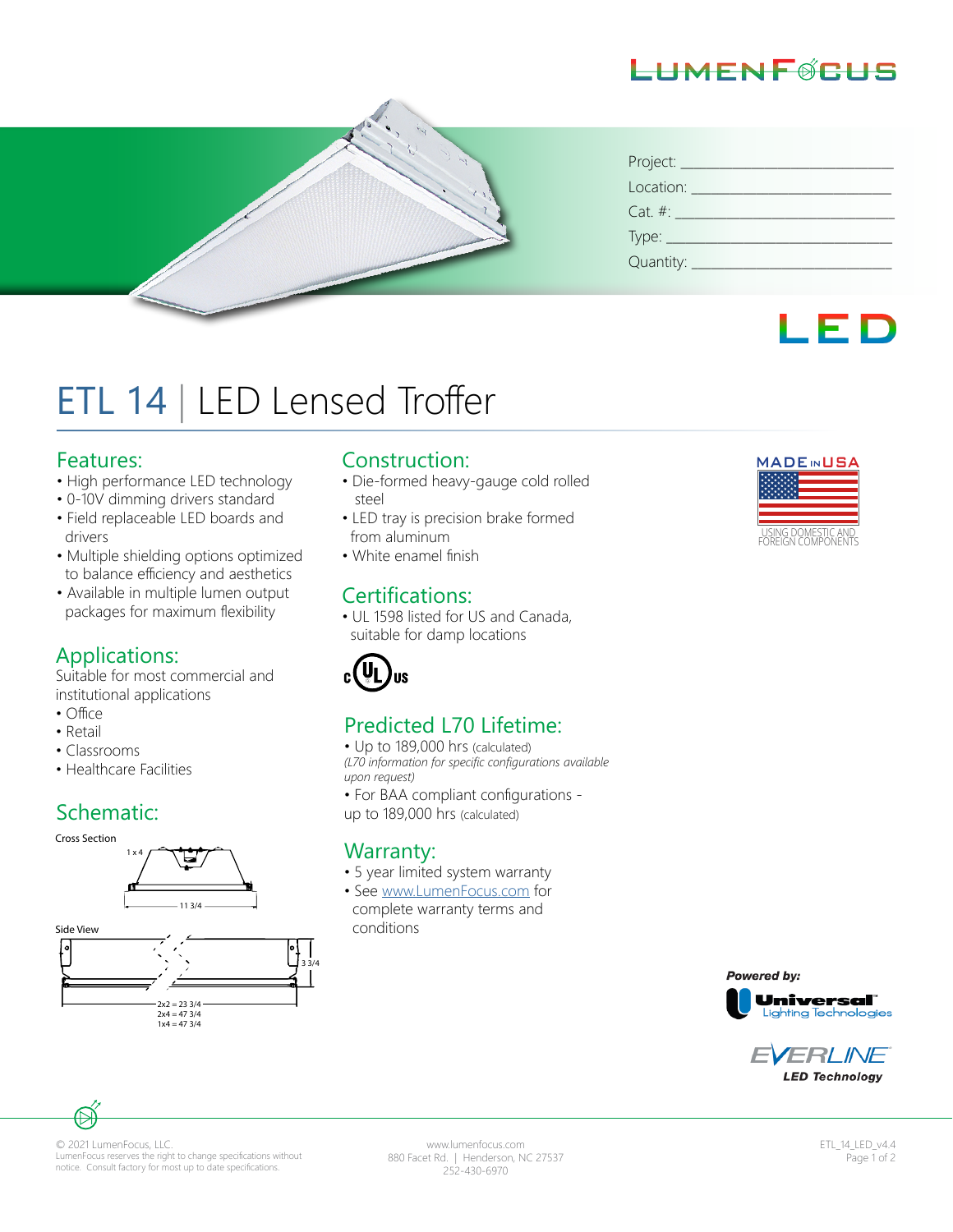# LHMFNFØRHS

| Project:                       |
|--------------------------------|
| Location:                      |
| $Cat. \#:$                     |
| Type: $\overline{\phantom{0}}$ |
| Quantity: _                    |



# ETL 14 | LED Lensed Troffer

#### Features:

- High performance LED technology
- 0-10V dimming drivers standard
- Field replaceable LED boards and drivers
- Multiple shielding options optimized to balance efficiency and aesthetics
- Available in multiple lumen output packages for maximum flexibility

#### Applications:

Suitable for most commercial and institutional applications

- Office
- Retail
- Classrooms
- Healthcare Facilities

### Schematic:



#### Construction:

- Die-formed heavy-gauge cold rolled steel
- LED tray is precision brake formed from aluminum
- White enamel finish

#### Certifications:

• UL 1598 listed for US and Canada, suitable for damp locations



#### Predicted L70 Lifetime:

• Up to 189,000 hrs (calculated) *(L70 information for specific configurations available upon request)*

• For BAA compliant configurations up to 189,000 hrs (calculated)

#### **Warranty:**

- 5 year limited system warranty
- See www.LumenFocus.com for complete warranty terms and conditions











© 2021 LumenFocus, LLC. LumenFocus reserves the right to change specifications without notice. Consult factory for most up to date specifications.

www.lumenfocus.com 880 Facet Rd. | Henderson, NC 27537 252-430-6970

ETL\_14\_LED\_v4.4 Page 1 of 2